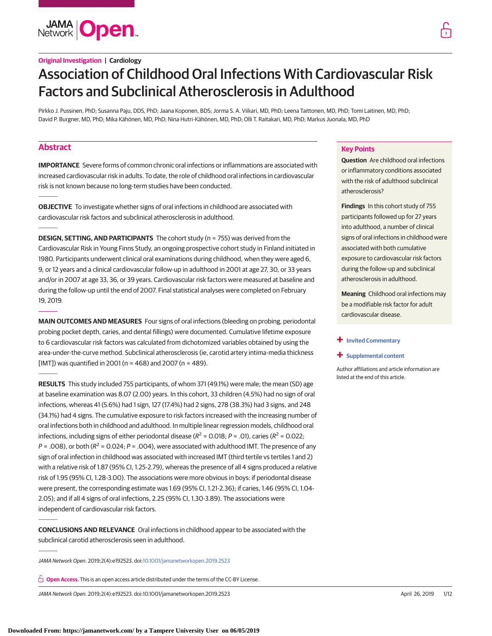**JAMA Open** 

## **Original Investigation | Cardiology**

# Association of Childhood Oral Infections With Cardiovascular Risk Factors and Subclinical Atherosclerosis in Adulthood

Pirkko J. Pussinen, PhD; Susanna Paju, DDS, PhD; Jaana Koponen, BDS; Jorma S. A. Viikari, MD, PhD; Leena Taittonen, MD, PhD; Tomi Laitinen, MD, PhD; David P. Burgner, MD, PhD; Mika Kähönen, MD, PhD; Nina Hutri-Kähönen, MD, PhD; Olli T. Raitakari, MD, PhD; Markus Juonala, MD, PhD

# **Abstract**

**IMPORTANCE** Severe forms of common chronic oral infections or inflammations are associated with increased cardiovascular risk in adults. To date, the role of childhood oral infections in cardiovascular risk is not known because no long-term studies have been conducted.

**OBJECTIVE** To investigate whether signs of oral infections in childhood are associated with cardiovascular risk factors and subclinical atherosclerosis in adulthood.

**DESIGN, SETTING, AND PARTICIPANTS** The cohort study (n = 755) was derived from the Cardiovascular Risk in Young Finns Study, an ongoing prospective cohort study in Finland initiated in 1980. Participants underwent clinical oral examinations during childhood, when they were aged 6, 9, or 12 years and a clinical cardiovascular follow-up in adulthood in 2001 at age 27, 30, or 33 years and/or in 2007 at age 33, 36, or 39 years. Cardiovascular risk factors were measured at baseline and during the follow-up until the end of 2007. Final statistical analyses were completed on February 19, 2019.

**MAIN OUTCOMES AND MEASURES** Four signs of oral infections (bleeding on probing, periodontal probing pocket depth, caries, and dental fillings) were documented. Cumulative lifetime exposure to 6 cardiovascular risk factors was calculated from dichotomized variables obtained by using the area-under-the-curve method. Subclinical atherosclerosis (ie, carotid artery intima-media thickness [IMT]) was quantified in 2001 ( $n = 468$ ) and 2007 ( $n = 489$ ).

**RESULTS** This study included 755 participants, of whom 371 (49.1%) were male; the mean (SD) age at baseline examination was 8.07 (2.00) years. In this cohort, 33 children (4.5%) had no sign of oral infections, whereas 41 (5.6%) had 1 sign, 127 (17.4%) had 2 signs, 278 (38.3%) had 3 signs, and 248 (34.1%) had 4 signs. The cumulative exposure to risk factors increased with the increasing number of oral infections both in childhood and adulthood. In multiple linear regression models, childhood oral infections, including signs of either periodontal disease ( $R^2$  = 0.018; P = .01), caries ( $R^2$  = 0.022;  $P = .008$ ), or both ( $R^2 = 0.024$ ;  $P = .004$ ), were associated with adulthood IMT. The presence of any sign of oral infection in childhood was associated with increased IMT (third tertile vs tertiles 1 and 2) with a relative risk of 1.87 (95% CI, 1.25-2.79), whereas the presence of all 4 signs produced a relative risk of 1.95 (95% CI, 1.28-3.00). The associations were more obvious in boys: if periodontal disease were present, the corresponding estimate was 1.69 (95% CI, 1.21-2.36); if caries, 1.46 (95% CI, 1.04- 2.05); and if all 4 signs of oral infections, 2.25 (95% CI, 1.30-3.89). The associations were independent of cardiovascular risk factors.

**CONCLUSIONS AND RELEVANCE** Oral infections in childhood appear to be associated with the subclinical carotid atherosclerosis seen in adulthood.

JAMA Network Open. 2019;2(4):e192523. doi[:10.1001/jamanetworkopen.2019.2523](https://jama.jamanetwork.com/article.aspx?doi=10.1001/jamanetworkopen.2019.2523&utm_campaign=articlePDF%26utm_medium=articlePDFlink%26utm_source=articlePDF%26utm_content=jamanetworkopen.2019.2523)

**Open Access.** This is an open access article distributed under the terms of the CC-BY License.

JAMA Network Open. 2019;2(4):e192523. doi:10.1001/jamanetworkopen.2019.2523 (Reprinted) April 26, 2019 1/12

### **Key Points**

**Question** Are childhood oral infections or inflammatory conditions associated with the risk of adulthood subclinical atherosclerosis?

**Findings** In this cohort study of 755 participants followed up for 27 years into adulthood, a number of clinical signs of oral infections in childhood were associated with both cumulative exposure to cardiovascular risk factors during the follow-up and subclinical atherosclerosis in adulthood.

**Meaning** Childhood oral infections may be a modifiable risk factor for adult cardiovascular disease.

#### **+ [Invited Commentary](https://jama.jamanetwork.com/article.aspx?doi=10.1001/jamanetworkopen.2019.2489&utm_campaign=articlePDF%26utm_medium=articlePDFlink%26utm_source=articlePDF%26utm_content=jamanetworkopen.2019.2523)**

**+ [Supplemental content](https://jama.jamanetwork.com/article.aspx?doi=10.1001/jamanetworkopen.2019.2523&utm_campaign=articlePDF%26utm_medium=articlePDFlink%26utm_source=articlePDF%26utm_content=jamanetworkopen.2019.2523)**

Author affiliations and article information are listed at the end of this article.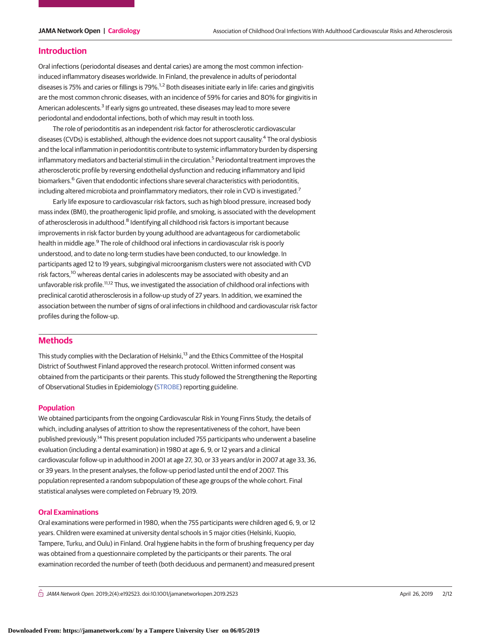#### **Introduction**

Oral infections (periodontal diseases and dental caries) are among the most common infectioninduced inflammatory diseases worldwide. In Finland, the prevalence in adults of periodontal diseases is 75% and caries or fillings is 79%.<sup>1,2</sup> Both diseases initiate early in life: caries and gingivitis are the most common chronic diseases, with an incidence of 59% for caries and 80% for gingivitis in American adolescents.<sup>3</sup> If early signs go untreated, these diseases may lead to more severe periodontal and endodontal infections, both of which may result in tooth loss.

The role of periodontitis as an independent risk factor for atherosclerotic cardiovascular diseases (CVDs) is established, although the evidence does not support causality.<sup>4</sup> The oral dysbiosis and the local inflammation in periodontitis contribute to systemic inflammatory burden by dispersing inflammatory mediators and bacterial stimuli in the circulation.<sup>5</sup> Periodontal treatment improves the atherosclerotic profile by reversing endothelial dysfunction and reducing inflammatory and lipid biomarkers.<sup>6</sup> Given that endodontic infections share several characteristics with periodontitis, including altered microbiota and proinflammatory mediators, their role in CVD is investigated.<sup>7</sup>

Early life exposure to cardiovascular risk factors, such as high blood pressure, increased body mass index (BMI), the proatherogenic lipid profile, and smoking, is associated with the development of atherosclerosis in adulthood.<sup>8</sup> Identifying all childhood risk factors is important because improvements in risk factor burden by young adulthood are advantageous for cardiometabolic health in middle age.<sup>9</sup> The role of childhood oral infections in cardiovascular risk is poorly understood, and to date no long-term studies have been conducted, to our knowledge. In participants aged 12 to 19 years, subgingival microorganism clusters were not associated with CVD risk factors,<sup>10</sup> whereas dental caries in adolescents may be associated with obesity and an unfavorable risk profile.<sup>11,12</sup> Thus, we investigated the association of childhood oral infections with preclinical carotid atherosclerosis in a follow-up study of 27 years. In addition, we examined the association between the number of signs of oral infections in childhood and cardiovascular risk factor profiles during the follow-up.

# **Methods**

This study complies with the Declaration of Helsinki,<sup>13</sup> and the Ethics Committee of the Hospital District of Southwest Finland approved the research protocol. Written informed consent was obtained from the participants or their parents. This study followed the Strengthening the Reporting of Observational Studies in Epidemiology [\(STROBE\)](http://www.equator-network.org/reporting-guidelines/strobe/) reporting guideline.

#### **Population**

We obtained participants from the ongoing Cardiovascular Risk in Young Finns Study, the details of which, including analyses of attrition to show the representativeness of the cohort, have been published previously.<sup>14</sup> This present population included 755 participants who underwent a baseline evaluation (including a dental examination) in 1980 at age 6, 9, or 12 years and a clinical cardiovascular follow-up in adulthood in 2001 at age 27, 30, or 33 years and/or in 2007 at age 33, 36, or 39 years. In the present analyses, the follow-up period lasted until the end of 2007. This population represented a random subpopulation of these age groups of the whole cohort. Final statistical analyses were completed on February 19, 2019.

#### **Oral Examinations**

Oral examinations were performed in 1980, when the 755 participants were children aged 6, 9, or 12 years. Children were examined at university dental schools in 5 major cities (Helsinki, Kuopio, Tampere, Turku, and Oulu) in Finland. Oral hygiene habits in the form of brushing frequency per day was obtained from a questionnaire completed by the participants or their parents. The oral examination recorded the number of teeth (both deciduous and permanent) and measured present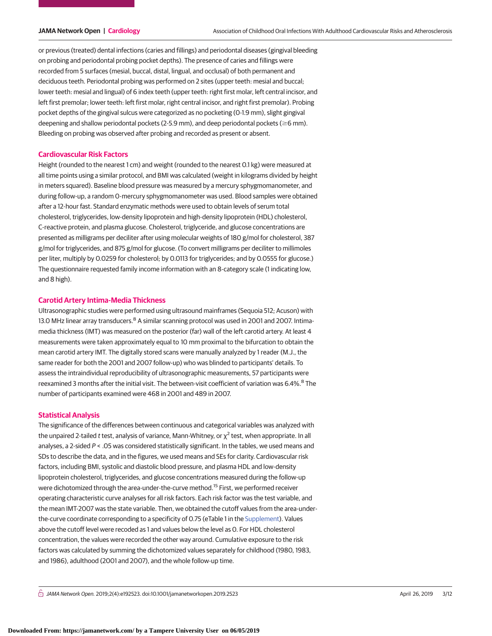or previous (treated) dental infections (caries and fillings) and periodontal diseases (gingival bleeding on probing and periodontal probing pocket depths). The presence of caries and fillings were recorded from 5 surfaces (mesial, buccal, distal, lingual, and occlusal) of both permanent and deciduous teeth. Periodontal probing was performed on 2 sites (upper teeth: mesial and buccal; lower teeth: mesial and lingual) of 6 index teeth (upper teeth: right first molar, left central incisor, and left first premolar; lower teeth: left first molar, right central incisor, and right first premolar). Probing pocket depths of the gingival sulcus were categorized as no pocketing (0-1.9 mm), slight gingival deepening and shallow periodontal pockets (2-5.9 mm), and deep periodontal pockets ( $\geq$ 6 mm). Bleeding on probing was observed after probing and recorded as present or absent.

#### **Cardiovascular Risk Factors**

Height (rounded to the nearest 1 cm) and weight (rounded to the nearest 0.1 kg) were measured at all time points using a similar protocol, and BMI was calculated (weight in kilograms divided by height in meters squared). Baseline blood pressure was measured by a mercury sphygmomanometer, and during follow-up, a random 0-mercury sphygmomanometer was used. Blood samples were obtained after a 12-hour fast. Standard enzymatic methods were used to obtain levels of serum total cholesterol, triglycerides, low-density lipoprotein and high-density lipoprotein (HDL) cholesterol, C-reactive protein, and plasma glucose. Cholesterol, triglyceride, and glucose concentrations are presented as milligrams per deciliter after using molecular weights of 180 g/mol for cholesterol, 387 g/mol for triglycerides, and 875 g/mol for glucose. (To convert milligrams per deciliter to millimoles per liter, multiply by 0.0259 for cholesterol; by 0.0113 for triglycerides; and by 0.0555 for glucose.) The questionnaire requested family income information with an 8-category scale (1 indicating low, and 8 high).

#### **Carotid Artery Intima-Media Thickness**

Ultrasonographic studies were performed using ultrasound mainframes (Sequoia 512; Acuson) with 13.0 MHz linear array transducers.<sup>8</sup> A similar scanning protocol was used in 2001 and 2007. Intimamedia thickness (IMT) was measured on the posterior (far) wall of the left carotid artery. At least 4 measurements were taken approximately equal to 10 mm proximal to the bifurcation to obtain the mean carotid artery IMT. The digitally stored scans were manually analyzed by 1 reader (M.J., the same reader for both the 2001 and 2007 follow-up) who was blinded to participants' details. To assess the intraindividual reproducibility of ultrasonographic measurements, 57 participants were reexamined 3 months after the initial visit. The between-visit coefficient of variation was 6.4%.<sup>8</sup> The number of participants examined were 468 in 2001 and 489 in 2007.

#### **Statistical Analysis**

The significance of the differences between continuous and categorical variables was analyzed with the unpaired 2-tailed t test, analysis of variance, Mann-Whitney, or  $\chi^2$  test, when appropriate. In all analyses, a 2-sided  $P < .05$  was considered statistically significant. In the tables, we used means and SDs to describe the data, and in the figures, we used means and SEs for clarity. Cardiovascular risk factors, including BMI, systolic and diastolic blood pressure, and plasma HDL and low-density lipoprotein cholesterol, triglycerides, and glucose concentrations measured during the follow-up were dichotomized through the area-under-the-curve method.<sup>15</sup> First, we performed receiver operating characteristic curve analyses for all risk factors. Each risk factor was the test variable, and the mean IMT-2007 was the state variable. Then, we obtained the cutoff values from the area-underthe-curve coordinate corresponding to a specificity of 0.75 (eTable 1 in the [Supplement\)](https://jama.jamanetwork.com/article.aspx?doi=10.1001/jamanetworkopen.2019.2523&utm_campaign=articlePDF%26utm_medium=articlePDFlink%26utm_source=articlePDF%26utm_content=jamanetworkopen.2019.2523). Values above the cutoff level were recoded as 1 and values below the level as 0. For HDL cholesterol concentration, the values were recorded the other way around. Cumulative exposure to the risk factors was calculated by summing the dichotomized values separately for childhood (1980, 1983, and 1986), adulthood (2001 and 2007), and the whole follow-up time.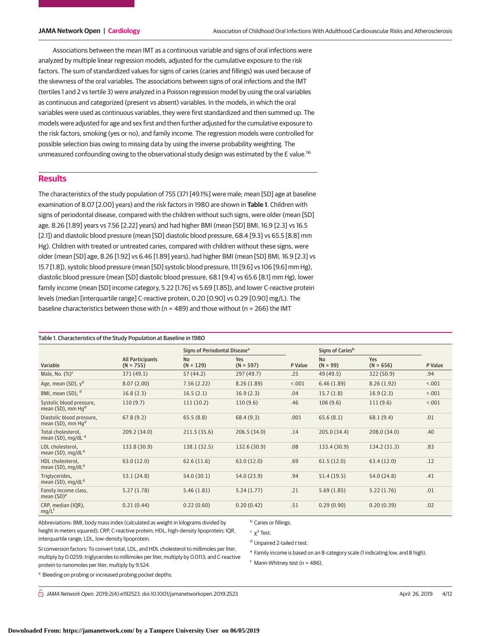Associations between the mean IMT as a continuous variable and signs of oral infections were analyzed by multiple linear regression models, adjusted for the cumulative exposure to the risk factors. The sum of standardized values for signs of caries (caries and fillings) was used because of the skewness of the oral variables. The associations between signs of oral infections and the IMT (tertiles 1 and 2 vs tertile 3) were analyzed in a Poisson regression model by using the oral variables as continuous and categorized (present vs absent) variables. In the models, in which the oral variables were used as continuous variables, they were first standardized and then summed up. The models were adjusted for age and sex first and then further adjusted for the cumulative exposure to the risk factors, smoking (yes or no), and family income. The regression models were controlled for possible selection bias owing to missing data by using the inverse probability weighting. The unmeasured confounding owing to the observational study design was estimated by the E value.<sup>16</sup>

#### **Results**

The characteristics of the study population of 755 (371 [49.1%] were male; mean [SD] age at baseline examination of 8.07 [2.00] years) and the risk factors in 1980 are shown in **Table 1**. Children with signs of periodontal disease, compared with the children without such signs, were older (mean [SD] age, 8.26 [1.89] years vs 7.56 [2.22] years) and had higher BMI (mean [SD] BMI, 16.9 [2.3] vs 16.5 [2.1]) and diastolic blood pressure (mean [SD] diastolic blood pressure, 68.4 [9.3] vs 65.5 [8.8] mm Hg). Children with treated or untreated caries, compared with children without these signs, were older (mean [SD] age, 8.26 [1.92] vs 6.46 [1.89] years), had higher BMI (mean [SD] BMI, 16.9 [2.3] vs 15.7 [1.8]), systolic blood pressure (mean [SD] systolic blood pressure, 111 [9.6] vs 106 [9.6] mm Hg), diastolic blood pressure (mean [SD] diastolic blood pressure, 68.1 [9.4] vs 65.6 [8.1] mm Hg), lower family income (mean [SD] income category, 5.22 [1.76] vs 5.69 [1.85]), and lower C-reactive protein levels (median [interquartile range] C-reactive protein, 0.20 [0.90] vs 0.29 [0.90] mg/L). The baseline characteristics between those with (n = 489) and those without (n = 266) the IMT

#### Table 1. Characteristics of the Study Population at Baseline in 1980

|                                                            |                                        | Signs of Periodontal Disease <sup>a</sup> |                    |         | Signs of Caries <sup>b</sup> |                    |         |
|------------------------------------------------------------|----------------------------------------|-------------------------------------------|--------------------|---------|------------------------------|--------------------|---------|
| Variable                                                   | <b>All Participants</b><br>$(N = 755)$ | <b>No</b><br>$(N = 129)$                  | Yes<br>$(N = 597)$ | P Value | <b>No</b><br>$(N = 99)$      | Yes<br>$(N = 656)$ | P Value |
| Male, No. $(\%)^c$                                         | 371(49.1)                              | 57 (44.2)                                 | 297 (49.7)         | .25     | 49 (49.5)                    | 322 (50.9)         | .94     |
| Age, mean (SD), y <sup>d</sup>                             | 8.07(2.00)                             | 7.56(2.22)                                | 8.26(1.89)         | < .001  | 6.46(1.89)                   | 8.26(1.92)         | < .001  |
| BMI, mean (SD), d                                          | 16.8(2.3)                              | 16.5(2.1)                                 | 16.9(2.3)          | .04     | 15.7(1.8)                    | 16.9(2.3)          | < .001  |
| Systolic blood pressure,<br>mean (SD), mm Hg <sup>d</sup>  | 110(9.7)                               | 111(10.2)                                 | 110(9.6)           | .46     | 106(9.6)                     | 111(9.6)           | < .001  |
| Diastolic blood pressure,<br>mean (SD), mm Hg <sup>d</sup> | 67.8(9.2)                              | 65.5(8.8)                                 | 68.4(9.3)          | .001    | 65.6(8.1)                    | 68.1(9.4)          | .01     |
| Total cholesterol,<br>mean (SD), mg/dL <sup>d</sup>        | 209.2 (34.0)                           | 211.5 (35.6)                              | 206.5(34.0)        | .14     | 205.0(34.4)                  | 208.0 (34.0)       | .40     |
| LDL cholesterol,<br>mean (SD), mg/dL <sup>d</sup>          | 133.8 (30.9)                           | 138.1 (32.5)                              | 132.6 (30.9)       | .08     | 133.4 (30.9)                 | 134.2 (31.3)       | .83     |
| HDL cholesterol,<br>mean (SD), mg/dL <sup>d</sup>          | 63.0(12.0)                             | 62.6(11.6)                                | 63.0 (12.0)        | .69     | 61.5(12.0)                   | 63.4 (12.0)        | .12     |
| Triglycerides,<br>mean (SD), mg/dL <sup>d</sup>            | 53.1 (24.8)                            | 54.0 (30.1)                               | 54.0 (23.9)        | .94     | 51.4(19.5)                   | 54.0 (24.8)        | .41     |
| Family income class,<br>mean $(SD)^e$                      | 5.27(1.78)                             | 5.46(1.81)                                | 5.24(1.77)         | .21     | 5.69(1.85)                   | 5.22(1.76)         | .01     |
| CRP, median (IQR),<br>$mg/L^f$                             | 0.21(0.44)                             | 0.22(0.60)                                | 0.20(0.42)         | .51     | 0.29(0.90)                   | 0.20(0.39)         | .02     |

Abbreviations: BMI, body mass index (calculated as weight in kilograms divided by height in meters squared); CRP, C-reactive protein; HDL, high-density lipoprotein; IQR, interquartile range; LDL, low-density lipoprotein.

**b** Caries or fillings.

<sup>c</sup>  $χ<sup>2</sup>$  Test. <sup>d</sup> Unpaired 2-tailed t test.

 $f$  Mann-Whitney test (n = 486).

SI conversion factors: To convert total, LDL, and HDL cholesterol to millimoles per liter, multiply by 0.0259; triglycerides to millimoles per liter, multiply by 0.0113; and C-reactive protein to nanomoles per liter, multiply by 9.524.

<sup>a</sup> Bleeding on probing or increased probing pocket depths.

 $\bigcap$  JAMA Network Open. 2019;2(4):e192523. doi:10.1001/jamanetworkopen.2019.2523 (Reprinted) April 26, 2019 4/12

e Family income is based on an 8-category scale (1 indicating low, and 8 high).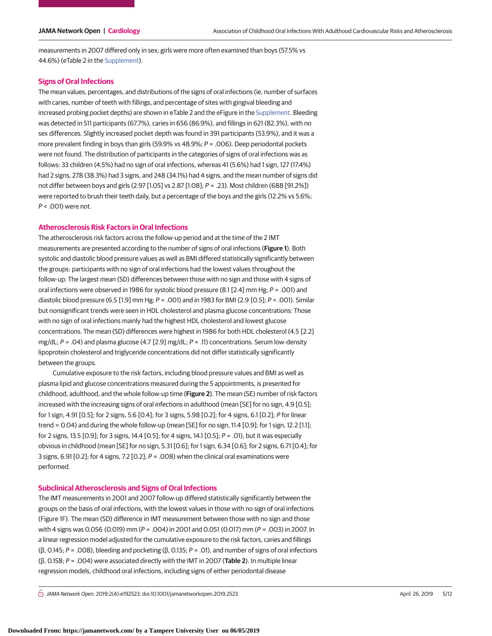measurements in 2007 differed only in sex; girls were more often examined than boys (57.5% vs 44.6%) (eTable 2 in the [Supplement\)](https://jama.jamanetwork.com/article.aspx?doi=10.1001/jamanetworkopen.2019.2523&utm_campaign=articlePDF%26utm_medium=articlePDFlink%26utm_source=articlePDF%26utm_content=jamanetworkopen.2019.2523).

#### **Signs of Oral Infections**

The mean values, percentages, and distributions of the signs of oral infections (ie, number of surfaces with caries, number of teeth with fillings, and percentage of sites with gingival bleeding and increased probing pocket depths) are shown in eTable 2 and the eFigure in the [Supplement.](https://jama.jamanetwork.com/article.aspx?doi=10.1001/jamanetworkopen.2019.2523&utm_campaign=articlePDF%26utm_medium=articlePDFlink%26utm_source=articlePDF%26utm_content=jamanetworkopen.2019.2523) Bleeding was detected in 511 participants (67.7%), caries in 656 (86.9%), and fillings in 621 (82.3%), with no sex differences. Slightly increased pocket depth was found in 391 participants (53.9%), and it was a more prevalent finding in boys than girls (59.9% vs  $48.9\%$ ;  $P = .006$ ). Deep periodontal pockets were not found. The distribution of participants in the categories of signs of oral infections was as follows: 33 children (4.5%) had no sign of oral infections, whereas 41 (5.6%) had 1 sign, 127 (17.4%) had 2 signs, 278 (38.3%) had 3 signs, and 248 (34.1%) had 4 signs, and the mean number of signs did not differ between boys and girls (2.97 [1.05] vs 2.87 [1.08]; P = .23). Most children (688 [91.2%]) were reported to brush their teeth daily, but a percentage of the boys and the girls (12.2% vs 5.6%;  $P < .001$ ) were not.

#### **Atherosclerosis Risk Factors in Oral Infections**

The atherosclerosis risk factors across the follow-up period and at the time of the 2 IMT measurements are presented according to the number of signs of oral infections (**Figure 1**). Both systolic and diastolic blood pressure values as well as BMI differed statistically significantly between the groups: participants with no sign of oral infections had the lowest values throughout the follow-up. The largest mean (SD) differences between those with no sign and those with 4 signs of oral infections were observed in 1986 for systolic blood pressure (8.1 [2.4] mm Hg; P = .001) and diastolic blood pressure (6.5 [1.9] mm Hg;  $P = .001$ ) and in 1983 for BMI (2.9 [0.5];  $P < .001$ ). Similar but nonsignificant trends were seen in HDL cholesterol and plasma glucose concentrations: Those with no sign of oral infections mainly had the highest HDL cholesterol and lowest glucose concentrations. The mean (SD) differences were highest in 1986 for both HDL cholesterol (4.5 [2.2] mg/dL;  $P = .04$ ) and plasma glucose (4.7 [2.9] mg/dL;  $P = .11$ ) concentrations. Serum low-density lipoprotein cholesterol and triglyceride concentrations did not differ statistically significantly between the groups.

Cumulative exposure to the risk factors, including blood pressure values and BMI as well as plasma lipid and glucose concentrations measured during the 5 appointments, is presented for childhood, adulthood, and the whole follow-up time (**Figure 2**). The mean (SE) number of risk factors increased with the increasing signs of oral infections in adulthood (mean [SE] for no sign, 4.9 [0.5]; for 1 sign, 4.91 [0.5]; for 2 signs, 5.6 [0.4]; for 3 signs, 5.98 [0.2]; for 4 signs, 6.1 [0.2]; P for linear trend = 0.04) and during the whole follow-up (mean [SE] for no sign, 11.4 [0.9]; for 1 sign, 12.2 [1.1]; for 2 signs, 13.5 [0.9]; for 3 signs, 14.4 [0.5]; for 4 signs, 14.1 [0.5];  $P = .01$ ), but it was especially obvious in childhood (mean [SE] for no sign, 5.31 [0.6]; for 1 sign, 6.34 [0.6]; for 2 signs, 6.71 [0.4]; for 3 signs, 6.91 [0.2]; for 4 signs, 7.2 [0.2];  $P = .008$ ) when the clinical oral examinations were performed.

#### **Subclinical Atherosclerosis and Signs of Oral Infections**

The IMT measurements in 2001 and 2007 follow-up differed statistically significantly between the groups on the basis of oral infections, with the lowest values in those with no sign of oral infections (Figure 1F). The mean (SD) difference in IMT measurement between those with no sign and those with 4 signs was 0.056 (0.019) mm ( $P = .004$ ) in 2001 and 0.051 (0.017) mm ( $P = .003$ ) in 2007. In a linear regression model adjusted for the cumulative exposure to the risk factors, caries and fillings (β, 0.145; P = .008), bleeding and pocketing (β, 0.135; P = .01), and number of signs of oral infections (β, 0.158; P = .004) were associated directly with the IMT in 2007 (**Table 2**). In multiple linear regression models, childhood oral infections, including signs of either periodontal disease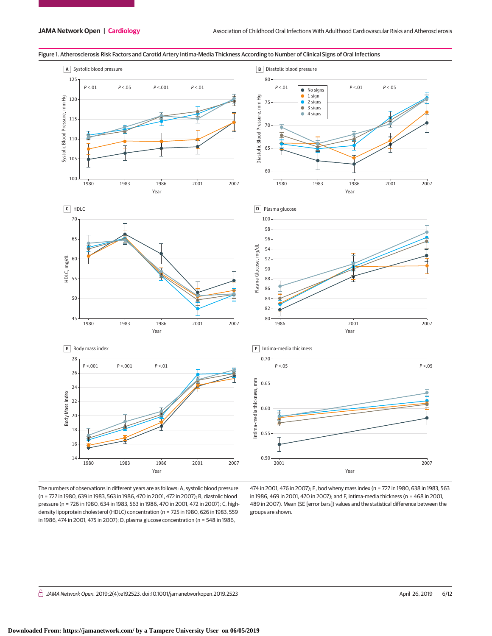

#### Figure 1. Atherosclerosis Risk Factors and Carotid Artery Intima-Media Thickness According to Number of Clinical Signs of Oral Infections

The numbers of observations in different years are as follows: A, systolic blood pressure (n = 727 in 1980, 639 in 1983, 563 in 1986, 470 in 2001, 472 in 2007); B, diastolic blood pressure (n = 726 in 1980, 634 in 1983, 563 in 1986, 470 in 2001, 472 in 2007); C, highdensity lipoprotein cholesterol (HDLC) concentration (n = 725 in 1980, 626 in 1983, 559 in 1986, 474 in 2001, 475 in 2007); D, plasma glucose concentration (n = 548 in 1986,

474 in 2001, 476 in 2007); E, bod wheny mass index (n = 727 in 1980, 638 in 1983, 563 in 1986, 469 in 2001, 470 in 2007); and F, intima-media thickness (n = 468 in 2001, 489 in 2007). Mean (SE [error bars]) values and the statistical difference between the groups are shown.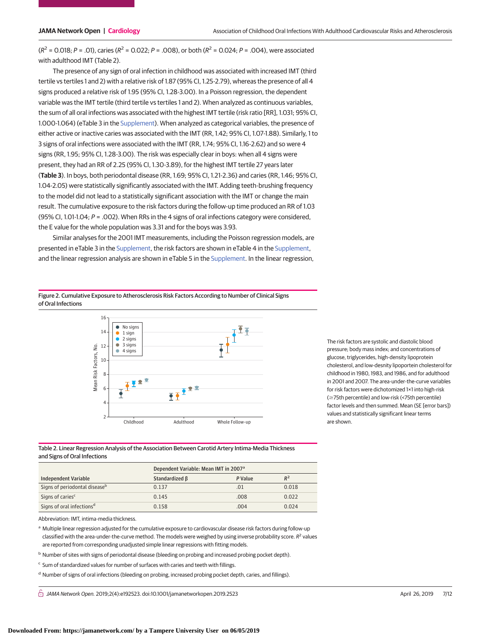$(R^2 = 0.018; P = .01)$ , caries  $(R^2 = 0.022; P = .008)$ , or both  $(R^2 = 0.024; P = .004)$ , were associated with adulthood IMT (Table 2).

The presence of any sign of oral infection in childhood was associated with increased IMT (third tertile vs tertiles 1 and 2) with a relative risk of 1.87 (95% CI, 1.25-2.79), whereas the presence of all 4 signs produced a relative risk of 1.95 (95% CI, 1.28-3.00). In a Poisson regression, the dependent variable was the IMT tertile (third tertile vs tertiles 1 and 2). When analyzed as continuous variables, the sum of all oral infections was associated with the highest IMT tertile (risk ratio [RR], 1.031; 95% CI, 1.000-1.064) (eTable 3 in the [Supplement\)](https://jama.jamanetwork.com/article.aspx?doi=10.1001/jamanetworkopen.2019.2523&utm_campaign=articlePDF%26utm_medium=articlePDFlink%26utm_source=articlePDF%26utm_content=jamanetworkopen.2019.2523). When analyzed as categorical variables, the presence of either active or inactive caries was associated with the IMT (RR, 1.42; 95% CI, 1.07-1.88). Similarly, 1 to 3 signs of oral infections were associated with the IMT (RR, 1.74; 95% CI, 1.16-2.62) and so were 4 signs (RR, 1.95; 95% CI, 1.28-3.00). The risk was especially clear in boys: when all 4 signs were present, they had an RR of 2.25 (95% CI, 1.30-3.89), for the highest IMT tertile 27 years later (**Table 3**). In boys, both periodontal disease (RR, 1.69; 95% CI, 1.21-2.36) and caries (RR, 1.46; 95% CI, 1.04-2.05) were statistically significantly associated with the IMT. Adding teeth-brushing frequency to the model did not lead to a statistically significant association with the IMT or change the main result. The cumulative exposure to the risk factors during the follow-up time produced an RR of 1.03 (95% CI, 1.01-1.04;  $P = .002$ ). When RRs in the 4 signs of oral infections category were considered, the E value for the whole population was 3.31 and for the boys was 3.93.

Similar analyses for the 2001 IMT measurements, including the Poisson regression models, are presented in eTable 3 in the [Supplement,](https://jama.jamanetwork.com/article.aspx?doi=10.1001/jamanetworkopen.2019.2523&utm_campaign=articlePDF%26utm_medium=articlePDFlink%26utm_source=articlePDF%26utm_content=jamanetworkopen.2019.2523) the risk factors are shown in eTable 4 in the [Supplement,](https://jama.jamanetwork.com/article.aspx?doi=10.1001/jamanetworkopen.2019.2523&utm_campaign=articlePDF%26utm_medium=articlePDFlink%26utm_source=articlePDF%26utm_content=jamanetworkopen.2019.2523) and the linear regression analysis are shown in eTable 5 in the [Supplement.](https://jama.jamanetwork.com/article.aspx?doi=10.1001/jamanetworkopen.2019.2523&utm_campaign=articlePDF%26utm_medium=articlePDFlink%26utm_source=articlePDF%26utm_content=jamanetworkopen.2019.2523) In the linear regression,

Figure 2. Cumulative Exposure to Atherosclerosis Risk Factors According to Number of Clinical Signs of Oral Infections



The risk factors are systolic and diastolic blood pressure; body mass index; and concentrations of glucose, triglycerides, high-density lipoprotein cholesterol, and low-desnity lipoportein cholesterol for childhood in 1980, 1983, and 1986, and for adulthood in 2001 and 2007. The area-under-the-curve variables for risk factors were dichotomized 1×1 into high-risk (≥75th percentile) and low-risk (<75th percentile) factor levels and then summed. Mean (SE [error bars]) values and statistically significant linear terms are shown.

Table 2. Linear Regression Analysis of the Association Between Carotid Artery Intima-Media Thickness and Signs of Oral Infections

|                                       | Dependent Variable: Mean IMT in 2007 <sup>a</sup> |         |       |
|---------------------------------------|---------------------------------------------------|---------|-------|
| Independent Variable                  | Standardized B                                    | P Value | $R^2$ |
| Signs of periodontal diseaseb         | 0.137                                             | .01     | 0.018 |
| Signs of caries <sup>c</sup>          | 0.145                                             | .008    | 0.022 |
| Signs of oral infections <sup>d</sup> | 0.158                                             | .004    | 0.024 |

Abbreviation: IMT, intima-media thickness.

a Multiple linear regression adjusted for the cumulative exposure to cardiovascular disease risk factors during follow-up classified with the area-under-the-curve method. The models were weighed by using inverse probability score.  $R^2$  values are reported from corresponding unadjusted simple linear regressions with fitting models.

- <sup>b</sup> Number of sites with signs of periodontal disease (bleeding on probing and increased probing pocket depth).
- <sup>c</sup> Sum of standardized values for number of surfaces with caries and teeth with fillings.
- <sup>d</sup> Number of signs of oral infections (bleeding on probing, increased probing pocket depth, caries, and fillings).

 $\bigcap$  JAMA Network Open. 2019;2(4):e192523. doi:10.1001/jamanetworkopen.2019.2523 (Reprinted) April 26, 2019 7/12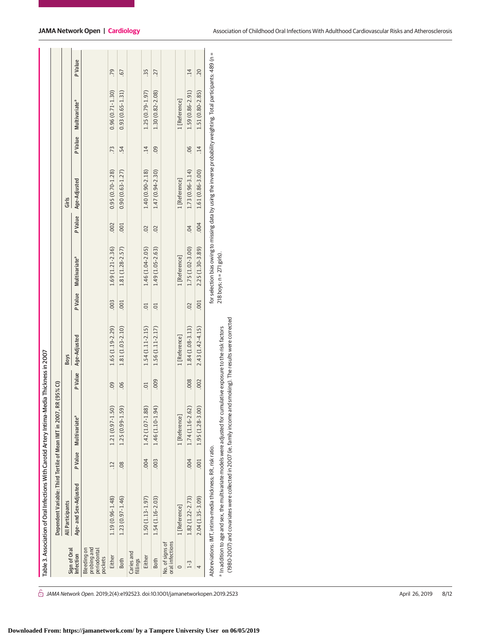|                                                             | Table 3. Association of Oral Infections With Carotid Artery Intima-Media Thickness in 2007                                                                                                                                       |                 |                           |                  |                     |                |                               |                |                                                                                                                   |                 |                           |                 |
|-------------------------------------------------------------|----------------------------------------------------------------------------------------------------------------------------------------------------------------------------------------------------------------------------------|-----------------|---------------------------|------------------|---------------------|----------------|-------------------------------|----------------|-------------------------------------------------------------------------------------------------------------------|-----------------|---------------------------|-----------------|
|                                                             | Dependent Variable: Third Tertile of Mean IMT in 2007,                                                                                                                                                                           |                 |                           | RR (95% CI)      |                     |                |                               |                |                                                                                                                   |                 |                           |                 |
| Sign of Oral                                                | <b>All Participants</b>                                                                                                                                                                                                          |                 |                           |                  | <b>Boys</b>         |                |                               |                | Girls                                                                                                             |                 |                           |                 |
| Infection                                                   | Age- and Sex-Adjusted                                                                                                                                                                                                            | <b>PValue</b>   | Multivariate <sup>a</sup> | P Value          | Age-Adjusted        | P Value        | Multivariate <sup>a</sup>     | P Value        | Age-Adjusted                                                                                                      | P Value         | Multivariate <sup>a</sup> | P Value         |
| probing and<br><b>Bleeding on</b><br>periodontal<br>pockets |                                                                                                                                                                                                                                  |                 |                           |                  |                     |                |                               |                |                                                                                                                   |                 |                           |                 |
| Either                                                      | $1.19(0.96 - 1.48)$                                                                                                                                                                                                              | $\overline{12}$ | 1.21 (0.97-1.50)          | 09               | $1.65(1.19-2.29)$   | .003           | 1.69 (1.21-2.36)              | .002           | $0.95(0.70 - 1.28)$                                                                                               | $\overline{73}$ | $0.96(0.71 - 1.30)$       | 79              |
| <b>Both</b>                                                 | $1.23(0.97 - 1.46)$                                                                                                                                                                                                              | $\overline{0}$  | 1.25 (0.99-1.59)          | 06               | $1.81(1.03 - 2.10)$ | .001           | 1.81 (1.28-2.57)              | .001           | $0.90(0.63 - 1.27)$                                                                                               | -54             | $0.93(0.65 - 1.31)$       | -67             |
| Caries and<br>fillings                                      |                                                                                                                                                                                                                                  |                 |                           |                  |                     |                |                               |                |                                                                                                                   |                 |                           |                 |
| Either                                                      | $1.50(1.13 - 1.97)$                                                                                                                                                                                                              | 000.            | 1.42 (1.07-1.88)          | $\overline{0}$ . | $1.54(1.11-2.15)$   | $\overline{c}$ | $1.46(1.04 - 2.05)$           | $\overline{0}$ | $1.40(0.90 - 2.18)$                                                                                               | $\overline{14}$ | $1.25(0.79 - 1.97)$       | 35.             |
| Both                                                        | $1.54(1.16-2.03)$                                                                                                                                                                                                                | .003            | 1.46 (1.10-1.94)          | 000              | $1.56(1.11-2.17)$   | $\overline{C}$ | $1.49(1.05 - 2.63)$           | $\overline{0}$ | $1.47(0.94 - 2.30)$                                                                                               | $\overline{0}$  | 1.30 (0.82-2.08)          | 27              |
| oral infections<br>No. of signs of                          |                                                                                                                                                                                                                                  |                 |                           |                  |                     |                |                               |                |                                                                                                                   |                 |                           |                 |
| $\circ$                                                     | 1 [Reference]                                                                                                                                                                                                                    |                 | 1 [Reference]             |                  | 1 [Reference]       |                | 1 [Reference]                 |                | 1 [Reference]                                                                                                     |                 | 1 [Reference]             |                 |
| $1-3$                                                       | $1.82(1.22 - 2.73)$                                                                                                                                                                                                              | .004            | $1.74(1.16 - 2.62)$       | .008             | $1.84(1.08-3.13)$   | $\overline{0}$ | $1.75(1.02 - 3.00)$           | 04             | 1.73 (0.96-3.14)                                                                                                  | 06              | 1.59 (0.86-2.91)          | $\overline{14}$ |
| 4                                                           | $2.04(1.35-3.09)$                                                                                                                                                                                                                | 001             | 1.95 (1.28-3.00)          | .002             | $2.43(1.42 - 4.15)$ | .001           | 2.25 (1.30-3.89)              | 000.           | 1.61 (0.86-3.00)                                                                                                  | $\overline{14}$ | 1.51 (0.80-2.85)          | 20              |
|                                                             | Abbreviations: IMT, intima-media thickness; RR, risk ratio.                                                                                                                                                                      |                 |                           |                  |                     |                |                               |                | for selection bias owing to missing data by using the inverse probability weighting. Total participants: 489 (n = |                 |                           |                 |
|                                                             | (1980-2007) and covariates were collected in 2007 (ie, family income and smoking). The results were corrected<br>a In addition to age and sex, the multivariate models were adjusted for cumulative exposure to the risk factors |                 |                           |                  |                     |                | $218$ boys; $n = 271$ girls). |                |                                                                                                                   |                 |                           |                 |

 $\hat{\bigcirc}$  JAMA Network Open. 2019;2(4):e192523. doi:10.1001/jamanetworkopen.2019.2523 (Reprinted) April 26, 2019 8/12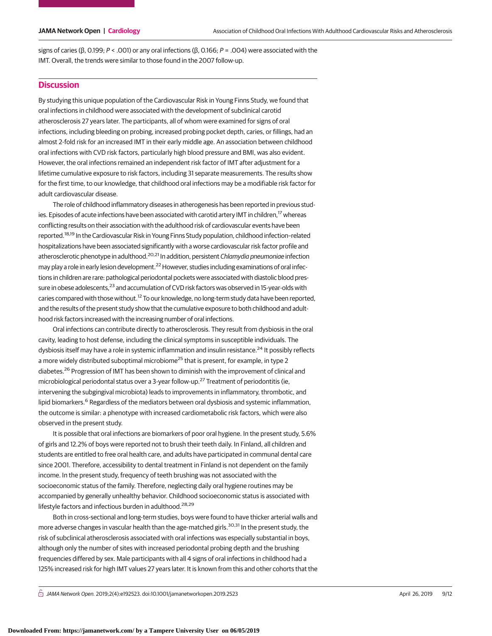signs of caries (β, 0.199; P < .001) or any oral infections (β, 0.166; P = .004) were associated with the IMT. Overall, the trends were similar to those found in the 2007 follow-up.

### **Discussion**

By studying this unique population of the Cardiovascular Risk in Young Finns Study, we found that oral infections in childhood were associated with the development of subclinical carotid atherosclerosis 27 years later. The participants, all of whom were examined for signs of oral infections, including bleeding on probing, increased probing pocket depth, caries, or fillings, had an almost 2-fold risk for an increased IMT in their early middle age. An association between childhood oral infections with CVD risk factors, particularly high blood pressure and BMI, was also evident. However, the oral infections remained an independent risk factor of IMT after adjustment for a lifetime cumulative exposure to risk factors, including 31 separate measurements. The results show for the first time, to our knowledge, that childhood oral infections may be a modifiable risk factor for adult cardiovascular disease.

The role of childhood inflammatory diseases in atherogenesis has been reported in previous studies. Episodes of acute infections have been associated with carotid artery IMT in children,<sup>17</sup> whereas conflicting results on their association with the adulthood risk of cardiovascular events have been reported.18,19 In the Cardiovascular Risk in Young Finns Study population, childhood infection–related hospitalizations have been associated significantly with a worse cardiovascular risk factor profile and atherosclerotic phenotype in adulthood.<sup>20,21</sup> In addition, persistent Chlamydia pneumoniae infection may play a role in early lesion development.<sup>22</sup> However, studies including examinations of oral infections in children are rare: pathological periodontal pockets were associated with diastolic blood pressure in obese adolescents,<sup>23</sup> and accumulation of CVD risk factors was observed in 15-year-olds with caries compared with those without.<sup>12</sup> To our knowledge, no long-term study data have been reported, and the results of the present study show that the cumulative exposure to both childhood and adulthood risk factors increased with the increasing number of oral infections.

Oral infections can contribute directly to atherosclerosis. They result from dysbiosis in the oral cavity, leading to host defense, including the clinical symptoms in susceptible individuals. The dysbiosis itself may have a role in systemic inflammation and insulin resistance.<sup>24</sup> It possibly reflects a more widely distributed suboptimal microbiome<sup>25</sup> that is present, for example, in type 2 diabetes.<sup>26</sup> Progression of IMT has been shown to diminish with the improvement of clinical and microbiological periodontal status over a 3-year follow-up.<sup>27</sup> Treatment of periodontitis (ie, intervening the subgingival microbiota) leads to improvements in inflammatory, thrombotic, and lipid biomarkers.<sup>6</sup> Regardless of the mediators between oral dysbiosis and systemic inflammation, the outcome is similar: a phenotype with increased cardiometabolic risk factors, which were also observed in the present study.

It is possible that oral infections are biomarkers of poor oral hygiene. In the present study, 5.6% of girls and 12.2% of boys were reported not to brush their teeth daily. In Finland, all children and students are entitled to free oral health care, and adults have participated in communal dental care since 2001. Therefore, accessibility to dental treatment in Finland is not dependent on the family income. In the present study, frequency of teeth brushing was not associated with the socioeconomic status of the family. Therefore, neglecting daily oral hygiene routines may be accompanied by generally unhealthy behavior. Childhood socioeconomic status is associated with lifestyle factors and infectious burden in adulthood.<sup>28,29</sup>

Both in cross-sectional and long-term studies, boys were found to have thicker arterial walls and more adverse changes in vascular health than the age-matched girls.<sup>30,31</sup> In the present study, the risk of subclinical atherosclerosis associated with oral infections was especially substantial in boys, although only the number of sites with increased periodontal probing depth and the brushing frequencies differed by sex. Male participants with all 4 signs of oral infections in childhood had a 125% increased risk for high IMT values 27 years later. It is known from this and other cohorts that the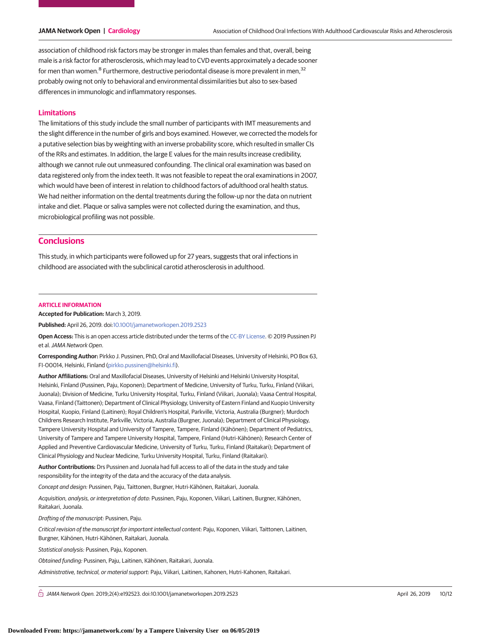association of childhood risk factors may be stronger in males than females and that, overall, being male is a risk factor for atherosclerosis, which may lead to CVD events approximately a decade sooner for men than women.<sup>8</sup> Furthermore, destructive periodontal disease is more prevalent in men,<sup>32</sup> probably owing not only to behavioral and environmental dissimilarities but also to sex-based differences in immunologic and inflammatory responses.

#### **Limitations**

The limitations of this study include the small number of participants with IMT measurements and the slight difference in the number of girls and boys examined. However, we corrected the models for a putative selection bias by weighting with an inverse probability score, which resulted in smaller CIs of the RRs and estimates. In addition, the large E values for the main results increase credibility, although we cannot rule out unmeasured confounding. The clinical oral examination was based on data registered only from the index teeth. It was not feasible to repeat the oral examinations in 2007, which would have been of interest in relation to childhood factors of adulthood oral health status. We had neither information on the dental treatments during the follow-up nor the data on nutrient intake and diet. Plaque or saliva samples were not collected during the examination, and thus, microbiological profiling was not possible.

# **Conclusions**

This study, in which participants were followed up for 27 years, suggests that oral infections in childhood are associated with the subclinical carotid atherosclerosis in adulthood.

#### **ARTICLE INFORMATION**

**Accepted for Publication:** March 3, 2019.

**Published:** April 26, 2019. doi[:10.1001/jamanetworkopen.2019.2523](https://jama.jamanetwork.com/article.aspx?doi=10.1001/jamanetworkopen.2019.2523&utm_campaign=articlePDF%26utm_medium=articlePDFlink%26utm_source=articlePDF%26utm_content=jamanetworkopen.2019.2523)

**Open Access:** This is an open access article distributed under the terms of the [CC-BY License.](https://jamanetwork.com/journals/jamanetworkopen/pages/instructions-for-authors#SecOpenAccess/?utm_campaign=articlePDF%26utm_medium=articlePDFlink%26utm_source=articlePDF%26utm_content=jamanetworkopen.2019.2523) © 2019 Pussinen PJ et al.JAMA Network Open.

**Corresponding Author:** Pirkko J. Pussinen, PhD, Oral and Maxillofacial Diseases, University of Helsinki, PO Box 63, FI-00014, Helsinki, Finland [\(pirkko.pussinen@helsinki.fi\)](mailto:pirkko.pussinen@helsinki.fi).

**Author Affiliations:** Oral and Maxillofacial Diseases, University of Helsinki and Helsinki University Hospital, Helsinki, Finland (Pussinen, Paju, Koponen); Department of Medicine, University of Turku, Turku, Finland (Viikari, Juonala); Division of Medicine, Turku University Hospital, Turku, Finland (Viikari, Juonala); Vaasa Central Hospital, Vaasa, Finland (Taittonen); Department of Clinical Physiology, University of Eastern Finland and Kuopio University Hospital, Kuopio, Finland (Laitinen); Royal Children's Hospital, Parkville, Victoria, Australia (Burgner); Murdoch Childrens Research Institute, Parkville, Victoria, Australia (Burgner, Juonala); Department of Clinical Physiology, Tampere University Hospital and University of Tampere, Tampere, Finland (Kähönen); Department of Pediatrics, University of Tampere and Tampere University Hospital, Tampere, Finland (Hutri-Kähönen); Research Center of Applied and Preventive Cardiovascular Medicine, University of Turku, Turku, Finland (Raitakari); Department of Clinical Physiology and Nuclear Medicine, Turku University Hospital, Turku, Finland (Raitakari).

**Author Contributions:** Drs Pussinen and Juonala had full access to all of the data in the study and take responsibility for the integrity of the data and the accuracy of the data analysis.

Concept and design: Pussinen, Paju, Taittonen, Burgner, Hutri-Kähönen, Raitakari, Juonala.

Acquisition, analysis, or interpretation of data: Pussinen, Paju, Koponen, Viikari, Laitinen, Burgner, Kähönen, Raitakari, Juonala.

Drafting of the manuscript: Pussinen, Paju.

Critical revision of the manuscript for important intellectual content: Paju, Koponen, Viikari, Taittonen, Laitinen, Burgner, Kähönen, Hutri-Kähönen, Raitakari, Juonala.

Statistical analysis: Pussinen, Paju, Koponen.

Obtained funding: Pussinen, Paju, Laitinen, Kähönen, Raitakari, Juonala.

Administrative, technical, or material support: Paju, Viikari, Laitinen, Kahonen, Hutri-Kahonen, Raitakari.

 $\bigcap$  JAMA Network Open. 2019;2(4):e192523. doi:10.1001/jamanetworkopen.2019.2523 (April 26, 2019 10/12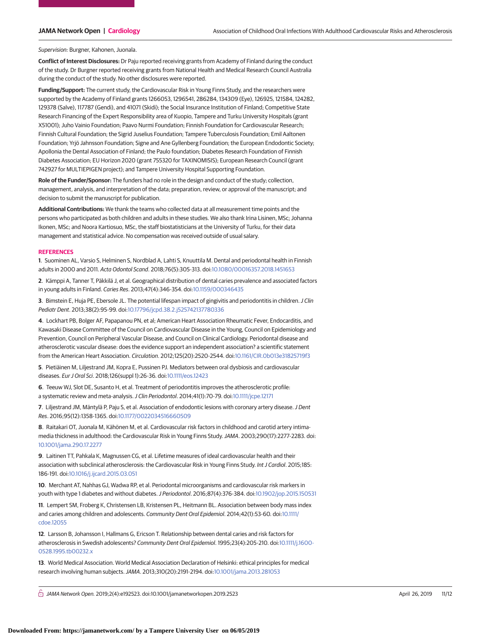Supervision: Burgner, Kahonen, Juonala.

**Conflict of Interest Disclosures:** Dr Paju reported receiving grants from Academy of Finland during the conduct of the study. Dr Burgner reported receiving grants from National Health and Medical Research Council Australia during the conduct of the study. No other disclosures were reported.

**Funding/Support:** The current study, the Cardiovascular Risk in Young Finns Study, and the researchers were supported by the Academy of Finland grants 1266053, 1296541, 286284, 134309 (Eye), 126925, 121584, 124282, 129378 (Salve), 117787 (Gendi), and 41071 (Skidi); the Social Insurance Institution of Finland; Competitive State Research Financing of the Expert Responsibility area of Kuopio, Tampere and Turku University Hospitals (grant X51001); Juho Vainio Foundation; Paavo Nurmi Foundation; Finnish Foundation for Cardiovascular Research; Finnish Cultural Foundation; the Sigrid Juselius Foundation; Tampere Tuberculosis Foundation; Emil Aaltonen Foundation; Yrjö Jahnsson Foundation; Signe and Ane Gyllenberg Foundation; the European Endodontic Society; Apollonia the Dental Association of Finland; the Paulo foundation; Diabetes Research Foundation of Finnish Diabetes Association; EU Horizon 2020 (grant 755320 for TAXINOMISIS); European Research Council (grant 742927 for MULTIEPIGEN project); and Tampere University Hospital Supporting Foundation.

**Role of the Funder/Sponsor:** The funders had no role in the design and conduct of the study; collection, management, analysis, and interpretation of the data; preparation, review, or approval of the manuscript; and decision to submit the manuscript for publication.

**Additional Contributions:** We thank the teams who collected data at all measurement time points and the persons who participated as both children and adults in these studies. We also thank Irina Lisinen, MSc; Johanna Ikonen, MSc; and Noora Kartiosuo, MSc, the staff biostatisticians at the University of Turku, for their data management and statistical advice. No compensation was received outside of usual salary.

#### **REFERENCES**

**1**. Suominen AL, Varsio S, Helminen S, Nordblad A, Lahti S, Knuuttila M. Dental and periodontal health in Finnish adults in 2000 and 2011. Acta Odontol Scand. 2018;76(5):305-313. doi[:10.1080/00016357.2018.1451653](https://dx.doi.org/10.1080/00016357.2018.1451653)

**2**. Kämppi A, Tanner T, Päkkilä J, et al. Geographical distribution of dental caries prevalence and associated factors in young adults in Finland. Caries Res. 2013;47(4):346-354. doi[:10.1159/000346435](https://dx.doi.org/10.1159/000346435)

**3**. Bimstein E, Huja PE, Ebersole JL. The potential lifespan impact of gingivitis and periodontitis in children.J Clin Pediatr Dent. 2013;38(2):95-99. doi[:10.17796/jcpd.38.2.j525742137780336](https://dx.doi.org/10.17796/jcpd.38.2.j525742137780336)

**4**. Lockhart PB, Bolger AF, Papapanou PN, et al; American Heart Association Rheumatic Fever, Endocarditis, and Kawasaki Disease Committee of the Council on Cardiovascular Disease in the Young, Council on Epidemiology and Prevention, Council on Peripheral Vascular Disease, and Council on Clinical Cardiology. Periodontal disease and atherosclerotic vascular disease: does the evidence support an independent association? a scientific statement from the American Heart Association. Circulation. 2012;125(20):2520-2544. doi[:10.1161/CIR.0b013e31825719f3](https://dx.doi.org/10.1161/CIR.0b013e31825719f3)

**5**. Pietiäinen M, Liljestrand JM, Kopra E, Pussinen PJ. Mediators between oral dysbiosis and cardiovascular diseases. Eur J Oral Sci. 2018;126(suppl 1):26-36. doi[:10.1111/eos.12423](https://dx.doi.org/10.1111/eos.12423)

**6**. Teeuw WJ, Slot DE, Susanto H, et al. Treatment of periodontitis improves the atherosclerotic profile: a systematic review and meta-analysis.J Clin Periodontol. 2014;41(1):70-79. doi[:10.1111/jcpe.12171](https://dx.doi.org/10.1111/jcpe.12171)

**7**. Liljestrand JM, Mäntylä P, Paju S, et al. Association of endodontic lesions with coronary artery disease.J Dent Res. 2016;95(12):1358-1365. doi[:10.1177/0022034516660509](https://dx.doi.org/10.1177/0022034516660509)

**8**. Raitakari OT, Juonala M, Kähönen M, et al. Cardiovascular risk factors in childhood and carotid artery intimamedia thickness in adulthood: the Cardiovascular Risk in Young Finns Study.JAMA. 2003;290(17):2277-2283. doi: [10.1001/jama.290.17.2277](https://jama.jamanetwork.com/article.aspx?doi=10.1001/jama.290.17.2277&utm_campaign=articlePDF%26utm_medium=articlePDFlink%26utm_source=articlePDF%26utm_content=jamanetworkopen.2019.2523)

**9**. Laitinen TT, Pahkala K, Magnussen CG, et al. Lifetime measures of ideal cardiovascular health and their association with subclinical atherosclerosis: the Cardiovascular Risk in Young Finns Study. Int J Cardiol. 2015;185: 186-191. doi[:10.1016/j.ijcard.2015.03.051](https://dx.doi.org/10.1016/j.ijcard.2015.03.051)

**10**. Merchant AT, Nahhas GJ, Wadwa RP, et al. Periodontal microorganisms and cardiovascular risk markers in youth with type 1 diabetes and without diabetes.J Periodontol. 2016;87(4):376-384. doi[:10.1902/jop.2015.150531](https://dx.doi.org/10.1902/jop.2015.150531)

**11**. Lempert SM, Froberg K, Christensen LB, Kristensen PL, Heitmann BL. Association between body mass index and caries among children and adolescents. Community Dent Oral Epidemiol. 2014;42(1):53-60. doi[:10.1111/](https://dx.doi.org/10.1111/cdoe.12055) [cdoe.12055](https://dx.doi.org/10.1111/cdoe.12055)

**12**. Larsson B, Johansson I, Hallmans G, Ericson T. Relationship between dental caries and risk factors for atherosclerosis in Swedish adolescents? Community Dent Oral Epidemiol. 1995;23(4):205-210. doi[:10.1111/j.1600-](https://dx.doi.org/10.1111/j.1600-0528.1995.tb00232.x) [0528.1995.tb00232.x](https://dx.doi.org/10.1111/j.1600-0528.1995.tb00232.x)

**13**. World Medical Association. World Medical Association Declaration of Helsinki: ethical principles for medical research involving human subjects.JAMA. 2013;310(20):2191-2194. doi[:10.1001/jama.2013.281053](https://jama.jamanetwork.com/article.aspx?doi=10.1001/jama.2013.281053&utm_campaign=articlePDF%26utm_medium=articlePDFlink%26utm_source=articlePDF%26utm_content=jamanetworkopen.2019.2523)

 $\bigcap$  JAMA Network Open. 2019;2(4):e192523. doi:10.1001/jamanetworkopen.2019.2523 (Reprinted) April 26, 2019 11/12